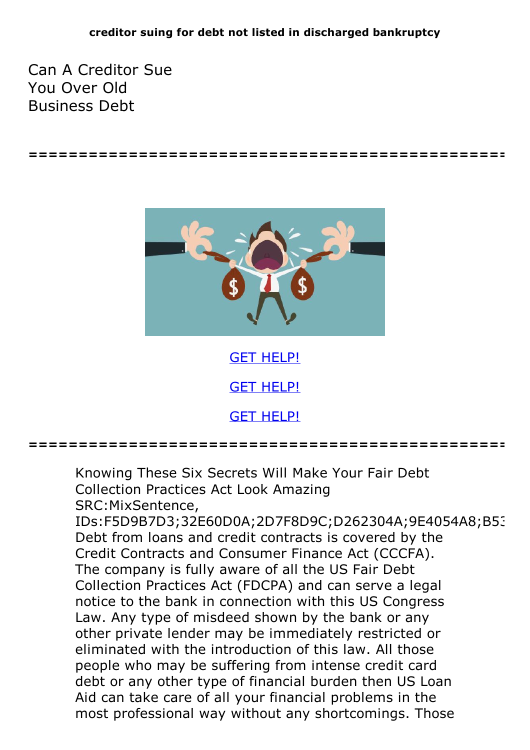**================================================**

Can A Creditor Sue You Over Old Business Debt



GET [HELP!](https://runpdf.xyz/pdf)

GET [HELP!](https://runpdf.xyz/pdf)

**================================================**

Knowing These Six Secrets Will Make Your Fair Debt Collection Practices Act Look Amazing SRC:MixSentence, IDs:F5D9B7D3;32E60D0A;2D7F8D9C;D262304A;9E4054A8;B53 Debt from loans and credit contracts is covered by the Credit Contracts and Consumer Finance Act (CCCFA). The company is fully aware of all the US Fair Debt Collection Practices Act (FDCPA) and can serve a legal notice to the bank in connection with this US Congress Law. Any type of misdeed shown by the bank or any other private lender may be immediately restricted or eliminated with the introduction of this law. All those people who may be suffering from intense credit card debt or any other type of financial burden then US Loan Aid can take care of all your financial problems in the most professional way without any shortcomings. Those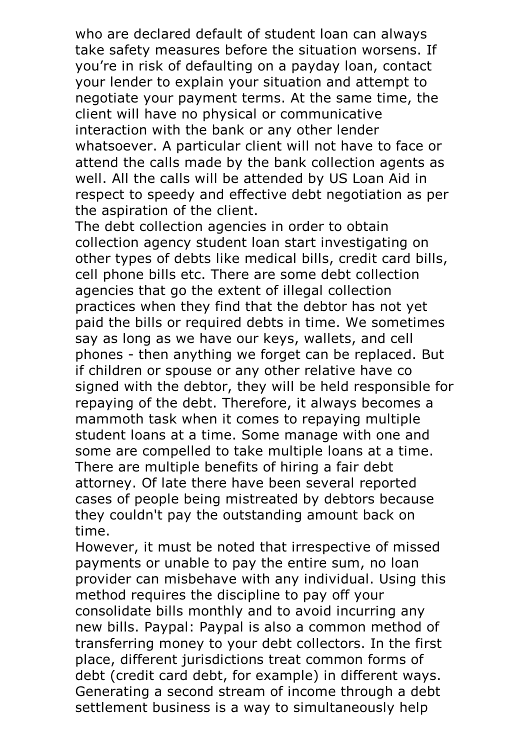who are declared default of student loan can always take safety measures before the situation worsens. If you're in risk of defaulting on a payday loan, contact your lender to explain your situation and attempt to negotiate your payment terms. At the same time, the client will have no physical or communicative interaction with the bank or any other lender whatsoever. A particular client will not have to face or attend the calls made by the bank collection agents as well. All the calls will be attended by US Loan Aid in respect to speedy and effective debt negotiation as per the aspiration of the client. The debt collection agencies in order to obtain

collection agency student loan start investigating on other types of debts like medical bills, credit card bills, cell phone bills etc. There are some debt collection agencies that go the extent of illegal collection practices when they find that the debtor has not yet paid the bills or required debts in time. We sometimes say as long as we have our keys, wallets, and cell phones - then anything we forget can be replaced. But if children or spouse or any other relative have co signed with the debtor, they will be held responsible for repaying of the debt. Therefore, it always becomes a mammoth task when it comes to repaying multiple student loans at a time. Some manage with one and some are compelled to take multiple loans at <sup>a</sup> time. There are multiple benefits of hiring <sup>a</sup> fair debt attorney. Of late there have been several reported cases of people being mistreated by debtors because they couldn't pay the outstanding amount back on time.<br>However, it must be noted that irrespective of missed

payments or unable to pay the entire sum, no loan provider can misbehave with any individual. Using this method requires the discipline to pay off your consolidate bills monthly and to avoid incurring any new bills. Paypal: Paypal is also a common method of transferring money to your debt collectors. In the first place, different jurisdictions treat common forms of debt (credit card debt, for example) in different ways. Generating <sup>a</sup> second stream of income through <sup>a</sup> debt settlement business is a way to simultaneously help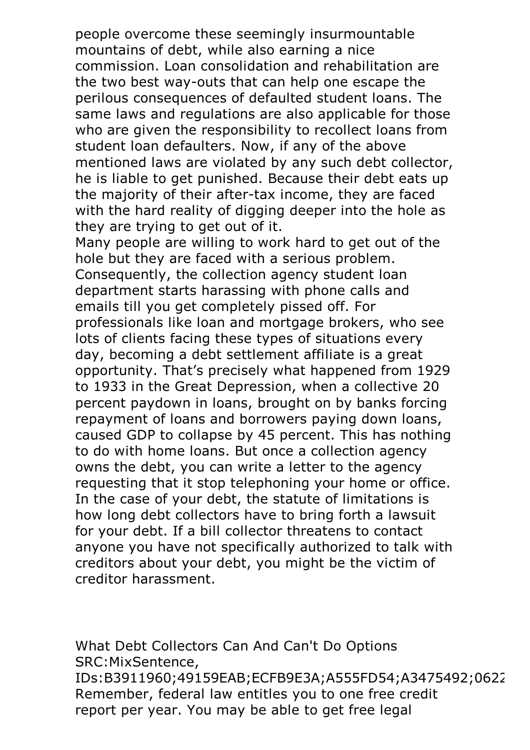people overcome these seemingly insurmountable mountains of debt, while also earning a nice commission. Loan consolidation and rehabilitation are the two best way-outs that can help one escape the perilous consequences of defaulted student loans. The same laws and regulations are also applicable for those who are given the responsibility to recollect loans from student loan defaulters. Now, if any of the above mentioned laws are violated by any such debt collector, he is liable to get punished. Because their debt eats up the majority of their after-tax income, they are faced with the hard reality of digging deeper into the hole as they are trying to get out of it.

Many people are willing to work hard to get out of the hole but they are faced with a serious problem. Consequently, the collection agency student loan department starts harassing with phone calls and emails till you get completely pissed off. For professionals like loan and mortgage brokers, who see lots of clients facing these types of situations every day, becoming a debt settlement affiliate is a great opportunity. That's precisely what happened from 1929 to 1933 in the Great Depression, when a collective 20 percent paydown in loans, brought on by banks forcing repayment of loans and borrowers paying down loans, caused GDP to collapse by 45 percent. This has nothing to do with home loans. But once a collection agency owns the debt, you can write a letter to the agency requesting that it stop telephoning your home or office. In the case of your debt, the statute of limitations is how long debt collectors have to bring forth a lawsuit for your debt. If a bill collector threatens to contact anyone you have not specifically authorized to talk with creditors about your debt, you might be the victim of creditor harassment.

What Debt Collectors Can And Can't Do Options SRC:MixSentence, IDs:B3911960;49159EAB;ECFB9E3A;A555FD54;A3475492;0622 Remember, federal law entitles you to one free credit report per year. You may be able to get free legal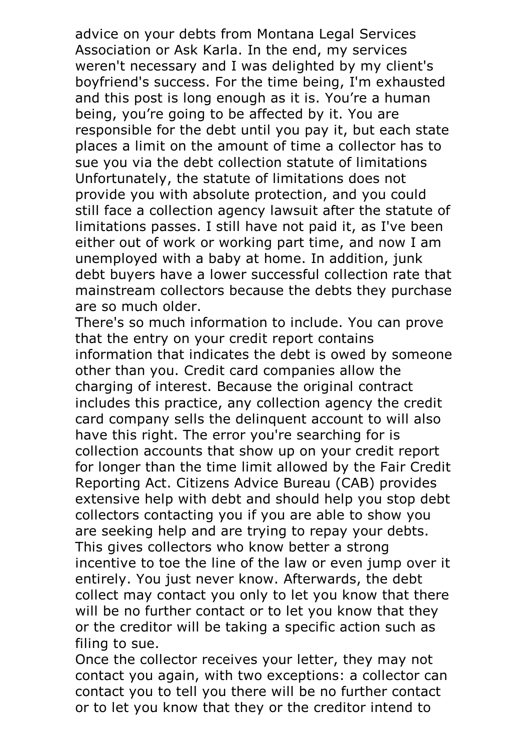advice on your debts from Montana Legal Services Association or Ask Karla. In the end, my services weren't necessary and I was delighted by my client's boyfriend's success. For the time being, I'm exhausted and this post is long enough as it is. You're a human being, you're going to be affected by it. You are responsible for the debt until you pay it, but each state places a limit on the amount of time a collector has to sue you via the debt collection statute of limitations Unfortunately, the statute of limitations does not provide you with absolute protection, and you could still face a collection agency lawsuit after the statute of limitations passes. I still have not paid it, as I've been either out of work or working part time, and now I am unemployed with a baby at home. In addition, junk debt buyers have a lower successful collection rate that mainstream collectors because the debts they purchase

are so much older. There's so much information to include. You can prove that the entry on your credit report contains information that indicates the debt is owed by someone other than you. Credit card companies allow the charging of interest. Because the original contract includes this practice, any collection agency the credit card company sells the delinquent account to will also have this right. The error you're searching for is collection accounts that show up on your credit report for longer than the time limit allowed by the Fair Credit Reporting Act. Citizens Advice Bureau (CAB) provides extensive help with debt and should help you stop debt collectors contacting you if you are able to show you are seeking help and are trying to repay your debts. This gives collectors who know better <sup>a</sup> strong incentive to toe the line of the law or even jump over it entirely. You just never know. Afterwards, the debt collect may contact you only to let you know that there will be no further contact or to let you know that they or the creditor will be taking a specific action such as

filing to sue.<br>Once the collector receives your letter, they may not contact you again, with two exceptions: a collector can contact you to tell you there will be no further contact or to let you know that they or the creditor intend to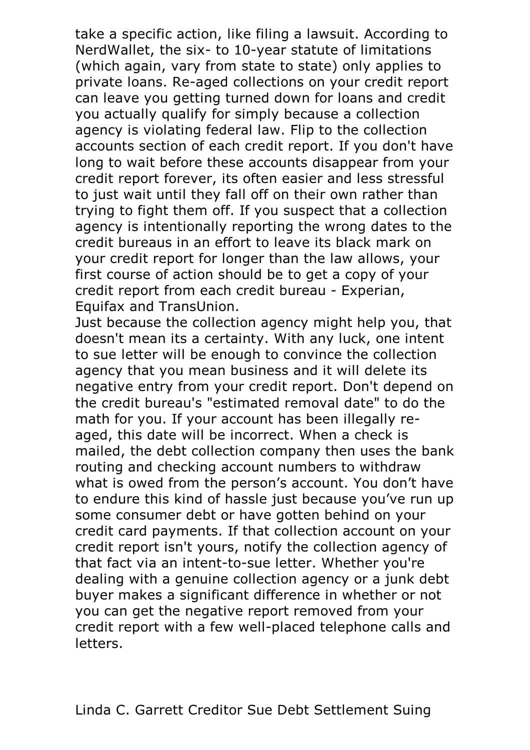take a specific action, like filing a lawsuit. According to NerdWallet, the six- to 10-year statute of limitations (which again, vary from state to state) only applies to private loans. Re-aged collections on your credit report can leave you getting turned down for loans and credit you actually qualify for simply because a collection agency is violating federal law. Flip to the collection accounts section of each credit report. If you don't have long to wait before these accounts disappear from your credit report forever, its often easier and less stressful to just wait until they fall off on their own rather than trying to fight them off. If you suspect that a collection agency is intentionally reporting the wrong dates to the credit bureaus in an effort to leave its black mark on your credit report for longer than the law allows, your first course of action should be to get a copy of your credit report from each credit bureau - Experian, Equifax and TransUnion.

Just because the collection agency might help you, that doesn't mean its a certainty. With any luck, one intent to sue letter will be enough to convince the collection agency that you mean business and it will delete its negative entry from your credit report. Don't depend on the credit bureau's "estimated removal date" to do the math for you. If your account has been illegally reaged, this date will be incorrect. When a check is mailed, the debt collection company then uses the bank routing and checking account numbers to withdraw what is owed from the person's account. You don't have to endure this kind of hassle just because you've run up some consumer debt or have gotten behind on your credit card payments. If that collection account on your credit report isn't yours, notify the collection agency of that fact via an intent-to-sue letter. Whether you're dealing with a genuine collection agency or a junk debt buyer makes a significant difference in whether or not you can get the negative report removed from your credit report with a few well-placed telephone calls and letters.